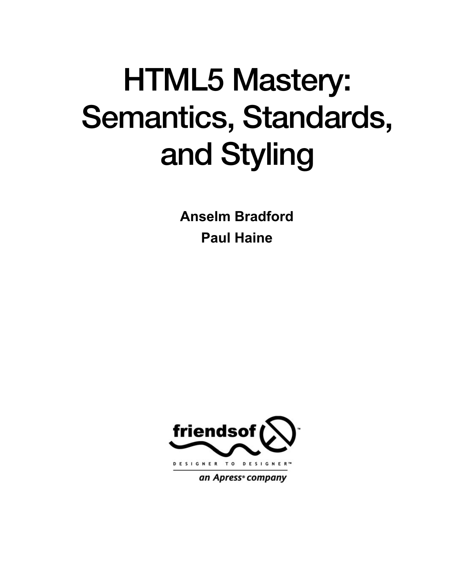# **HTML5 Mastery: Semantics, Standards, and Styling**

**Anselm Bradford Paul Haine** 

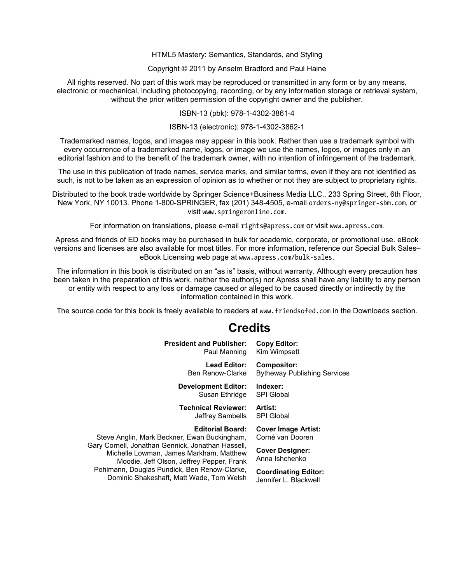HTML5 Mastery: Semantics, Standards, and Styling

Copyright © 2011 by Anselm Bradford and Paul Haine

All rights reserved. No part of this work may be reproduced or transmitted in any form or by any means, electronic or mechanical, including photocopying, recording, or by any information storage or retrieval system, without the prior written permission of the copyright owner and the publisher.

ISBN-13 (pbk): 978-1-4302-3861-4

ISBN-13 (electronic): 978-1-4302-3862-1

Trademarked names, logos, and images may appear in this book. Rather than use a trademark symbol with every occurrence of a trademarked name, logos, or image we use the names, logos, or images only in an editorial fashion and to the benefit of the trademark owner, with no intention of infringement of the trademark.

The use in this publication of trade names, service marks, and similar terms, even if they are not identified as such, is not to be taken as an expression of opinion as to whether or not they are subject to proprietary rights.

Distributed to the book trade worldwide by Springer Science+Business Media LLC., 233 Spring Street, 6th Floor, New York, NY 10013. Phone 1-800-SPRINGER, fax (201) 348-4505, e-mail orders-ny@springer-sbm.com, or visit www.springeronline.com.

For information on translations, please e-mail rights@apress.com or visit www.apress.com.

Apress and friends of ED books may be purchased in bulk for academic, corporate, or promotional use. eBook versions and licenses are also available for most titles. For more information, reference our Special Bulk Sales– eBook Licensing web page at www.apress.com/bulk-sales.

The information in this book is distributed on an "as is" basis, without warranty. Although every precaution has been taken in the preparation of this work, neither the author(s) nor Apress shall have any liability to any person or entity with respect to any loss or damage caused or alleged to be caused directly or indirectly by the information contained in this work.

The source code for this book is freely available to readers at www.friendsofed.com in the Downloads section.

#### **Credits**

**President and Publisher:** Paul Manning **Copy Editor:** Kim Wimpsett

> **Lead Editor: Compositor:** Ben Renow-Clarke

**Development Editor:**  Susan Ethridge SPI Global **Indexer:**

**Technical Reviewer: Artist:**

Jeffrey Sambells SPI Global

#### **Editorial Board:**

Steve Anglin, Mark Beckner, Ewan Buckingham, Gary Cornell, Jonathan Gennick, Jonathan Hassell, Michelle Lowman, James Markham, Matthew Moodie, Jeff Olson, Jeffrey Pepper, Frank Pohlmann, Douglas Pundick, Ben Renow-Clarke, Dominic Shakeshaft, Matt Wade, Tom Welsh **Cover Image Artist:** Corné van Dooren

Bytheway Publishing Services

**Cover Designer:** Anna Ishchenko

**Coordinating Editor:** Jennifer L. Blackwell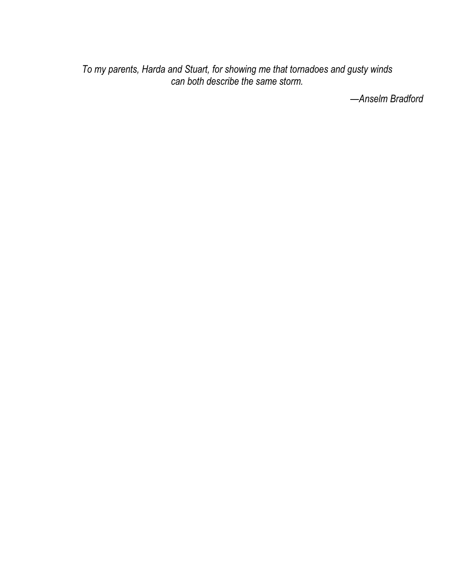*To my parents, Harda and Stuart, for showing me that tornadoes and gusty winds can both describe the same storm.* 

*—Anselm Bradford*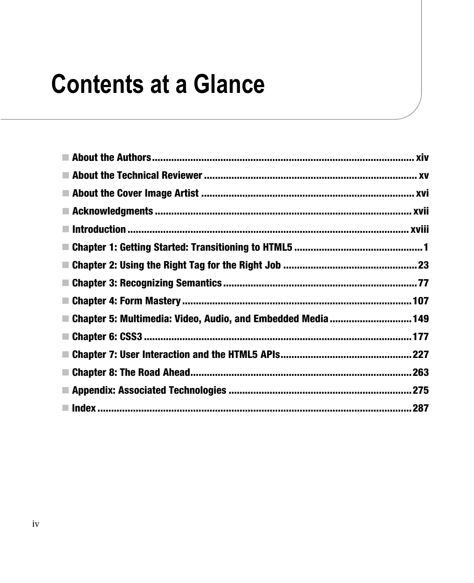### **Contents at a Glance**

| ■ Chapter 5: Multimedia: Video, Audio, and Embedded Media  149 |      |
|----------------------------------------------------------------|------|
|                                                                |      |
|                                                                |      |
|                                                                |      |
|                                                                |      |
|                                                                | .287 |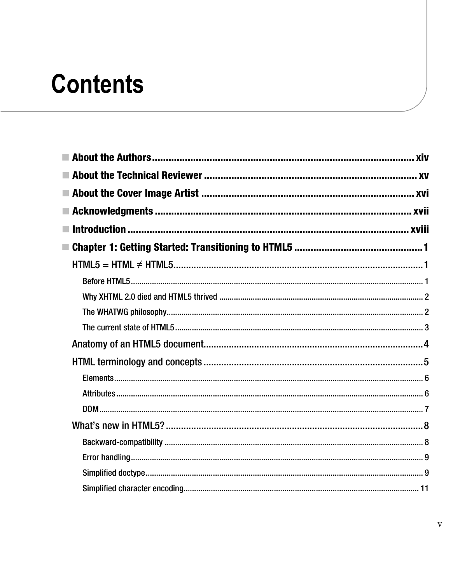## **Contents**

| $HTML 5 = HTML 7 + HTML 5$ |
|----------------------------|
|                            |
|                            |
|                            |
|                            |
|                            |
|                            |
|                            |
|                            |
|                            |
|                            |
|                            |
|                            |
|                            |
|                            |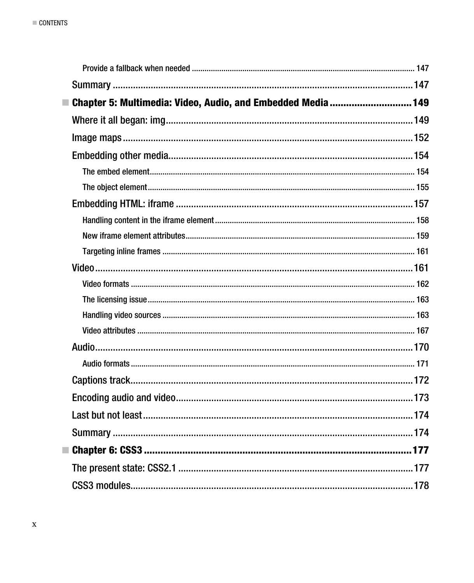| Chapter 5: Multimedia: Video, Audio, and Embedded Media  149 |  |
|--------------------------------------------------------------|--|
|                                                              |  |
|                                                              |  |
|                                                              |  |
|                                                              |  |
|                                                              |  |
|                                                              |  |
|                                                              |  |
|                                                              |  |
|                                                              |  |
|                                                              |  |
|                                                              |  |
|                                                              |  |
|                                                              |  |
|                                                              |  |
|                                                              |  |
|                                                              |  |
|                                                              |  |
|                                                              |  |
|                                                              |  |
|                                                              |  |
|                                                              |  |
|                                                              |  |
|                                                              |  |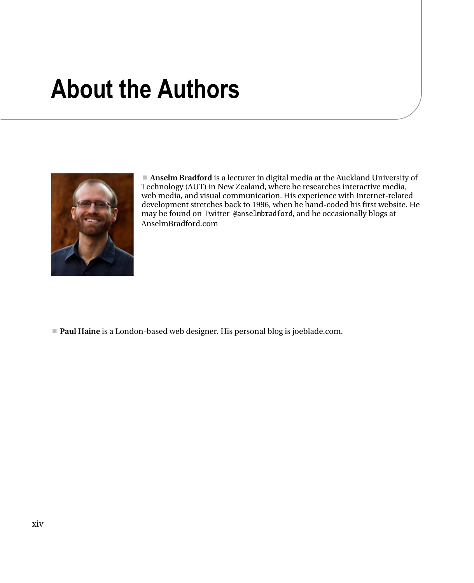#### **About the Authors**



Anselm Bradford is a lecturer in digital media at the Auckland University of Technology (AUT) in New Zealand, where he researches interactive media, web media, and visual communication. His experience with Internet-related development stretches back to 1996, when he hand-coded his first website. He may be found on Twitter @anselmbradford, and he occasionally blogs at AnselmBradford.com

Paul Haine is a London-based web designer. His personal blog is joeblade.com.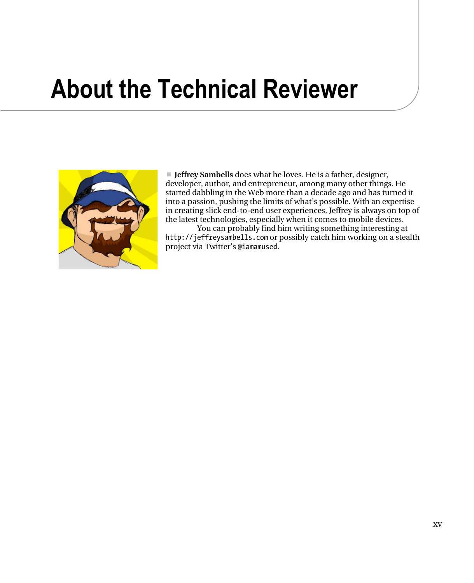### **About the Technical Reviewer**



**I** Jeffrey Sambells does what he loves. He is a father, designer, developer, author, and entrepreneur, among many other things. He started dabbling in the Web more than a decade ago and has turned it into a passion, pushing the limits of what's possible. With an expertise in creating slick end-to-end user experiences, Jeffrey is always on top of the latest technologies, especially when it comes to mobile devices.

You can probably find him writing something interesting at http://jeffreysambells.com or possibly catch him working on a stealth project via Twitter's @iamamused.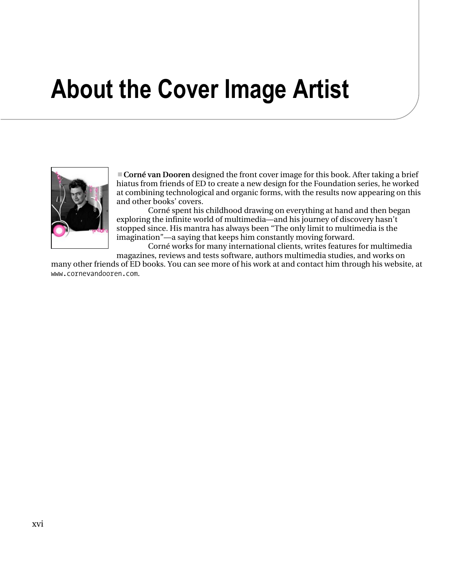### **About the Cover Image Artist**



Corné van Dooren designed the front cover image for this book. After taking a brief hiatus from friends of ED to create a new design for the Foundation series, he worked at combining technological and organic forms, with the results now appearing on this and other books' covers.

Corné spent his childhood drawing on everything at hand and then began exploring the infinite world of multimedia-and his journey of discovery hasn't stopped since. His mantra has always been "The only limit to multimedia is the imagination"—a saying that keeps him constantly moving forward.

Corné works for many international clients, writes features for multimedia magazines, reviews and tests software, authors multimedia studies, and works on

many other friends of ED books. You can see more of his work at and contact him through his website, at www.cornevandooren.com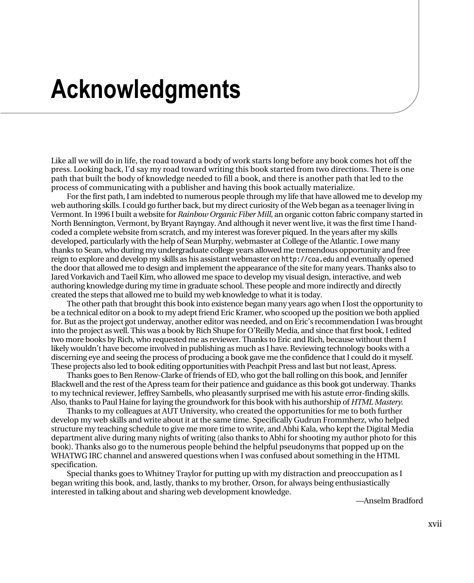#### **Acknowledgments**

Like all we will do in life, the road toward a body of work starts long before any book comes hot off the press. Looking back, I'd say my road toward writing this book started from two directions. There is one path that built the body of knowledge needed to fill a book, and there is another path that led to the process of communicating with a publisher and having this book actually materialize.

For the first path, I am indebted to numerous people through my life that have allowed me to develop my web authoring skills. I could go further back, but my direct curiosity of the Web began as a teenager living in Vermont. In 1996 I built a website for Rainbow Organic Fiber Mill, an organic cotton fabric company started in North Bennington, Vermont, by Bryant Rayngay. And although it never went live, it was the first time I handcoded a complete website from scratch, and my interest was forever piqued. In the years after my skills developed, particularly with the help of Sean Murphy, webmaster at College of the Atlantic. I owe many thanks to Sean, who during my undergraduate college years allowed me tremendous opportunity and free reign to explore and develop my skills as his assistant webmaster on http://coa.edu and eventually opened the door that allowed me to design and implement the appearance of the site for many years. Thanks also to Jared Vorkavich and Taeil Kim, who allowed me space to develop my visual design, interactive, and web authoring knowledge during my time in graduate school. These people and more indirectly and directly created the steps that allowed me to build my web knowledge to what it is today.

The other path that brought this book into existence began many years ago when I lost the opportunity to be a technical editor on a book to my adept friend Eric Kramer, who scooped up the position we both applied for. But as the project got underway, another editor was needed, and on Eric's recommendation I was brought into the project as well. This was a book by Rich Shupe for O'Reilly Media, and since that first book, I edited two more books by Rich, who requested me as reviewer. Thanks to Eric and Rich, because without them I likely wouldn't have become involved in publishing as much as I have. Reviewing technology books with a discerning eve and seeing the process of producing a book gave me the confidence that I could do it myself. These projects also led to book editing opportunities with Peachpit Press and last but not least, Apress.

Thanks goes to Ben Renow-Clarke of friends of ED, who got the ball rolling on this book, and Jennifer Blackwell and the rest of the Apress team for their patience and guidance as this book got underway. Thanks to my technical reviewer, Jeffrey Sambells, who pleasantly surprised me with his astute error-finding skills. Also, thanks to Paul Haine for laying the groundwork for this book with his authorship of HTML Mastery.

Thanks to my colleagues at AUT University, who created the opportunities for me to both further develop my web skills and write about it at the same time. Specifically Gudrun Frommherz, who helped structure my teaching schedule to give me more time to write, and Abhi Kala, who kept the Digital Media department alive during many nights of writing (also thanks to Abhi for shooting my author photo for this book). Thanks also go to the numerous people behind the helpful pseudonyms that popped up on the WHATWG IRC channel and answered questions when I was confused about something in the HTML specification.

Special thanks goes to Whitney Traylor for putting up with my distraction and preoccupation as I began writing this book, and, lastly, thanks to my brother, Orson, for always being enthusiastically interested in talking about and sharing web development knowledge.

-Anselm Bradford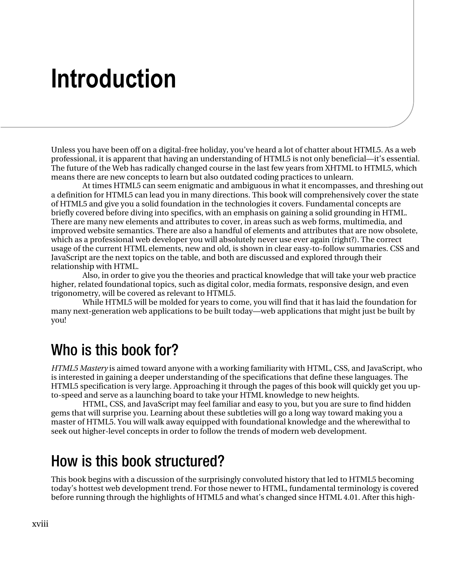## **Introduction**

Unless you have been off on a digital-free holiday, you've heard a lot of chatter about HTML5. As a web professional, it is apparent that having an understanding of HTML5 is not only beneficial—it's essential. The future of the Web has radically changed course in the last few years from XHTML to HTML5, which means there are new concepts to learn but also outdated coding practices to unlearn.

At times HTML5 can seem enigmatic and ambiguous in what it encompasses, and threshing out a definition for HTML5 can lead you in many directions. This book will comprehensively cover the state of HTML5 and give you a solid foundation in the technologies it covers. Fundamental concepts are briefly covered before diving into specifics, with an emphasis on gaining a solid grounding in HTML. There are many new elements and attributes to cover, in areas such as web forms, multimedia, and improved website semantics. There are also a handful of elements and attributes that are now obsolete, which as a professional web developer you will absolutely never use ever again (right?). The correct usage of the current HTML elements, new and old, is shown in clear easy-to-follow summaries. CSS and JavaScript are the next topics on the table, and both are discussed and explored through their relationship with HTML.

Also, in order to give you the theories and practical knowledge that will take your web practice higher, related foundational topics, such as digital color, media formats, responsive design, and even trigonometry, will be covered as relevant to HTML5.

While HTML5 will be molded for years to come, you will find that it has laid the foundation for many next-generation web applications to be built today—web applications that might just be built by you!

#### Who is this book for?

HTML5 Mastery is aimed toward anyone with a working familiarity with HTML, CSS, and JavaScript, who is interested in gaining a deeper understanding of the specifications that define these languages. The HTML5 specification is very large. Approaching it through the pages of this book will quickly get you upto-speed and serve as a launching board to take your HTML knowledge to new heights.

HTML, CSS, and JavaScript may feel familiar and easy to you, but you are sure to find hidden gems that will surprise you. Learning about these subtleties will go a long way toward making you a master of HTML5. You will walk away equipped with foundational knowledge and the wherewithal to seek out higher-level concepts in order to follow the trends of modern web development.

#### How is this book structured?

This book begins with a discussion of the surprisingly convoluted history that led to HTML5 becoming today's hottest web development trend. For those newer to HTML, fundamental terminology is covered before running through the highlights of HTML5 and what's changed since HTML 4.01. After this high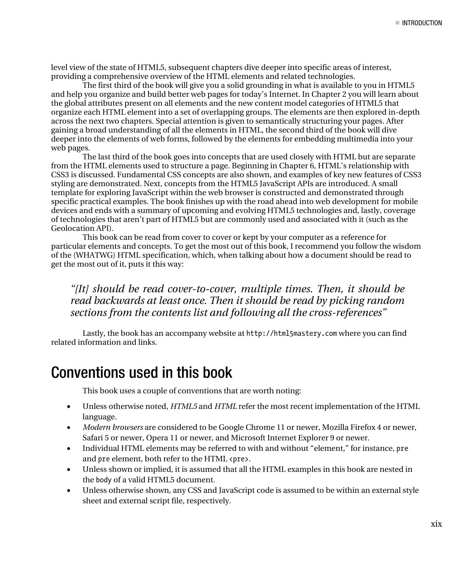level view of the state of HTML5, subsequent chapters dive deeper into specific areas of interest, providing a comprehensive overview of the HTML elements and related technologies.

The first third of the book will give you a solid grounding in what is available to you in HTML5 and help you organize and build better web pages for today's Internet. In Chapter 2 you will learn about the global attributes present on all elements and the new content model categories of HTML5 that organize each HTML element into a set of overlapping groups. The elements are then explored in-depth across the next two chapters. Special attention is given to semantically structuring your pages. After gaining a broad understanding of all the elements in HTML, the second third of the book will dive deeper into the elements of web forms, followed by the elements for embedding multimedia into your web pages.

The last third of the book goes into concepts that are used closely with HTML but are separate from the HTML elements used to structure a page. Beginning in Chapter 6, HTML's relationship with CSS3 is discussed. Fundamental CSS concepts are also shown, and examples of key new features of CSS3 styling are demonstrated. Next, concepts from the HTML5 JavaScript APIs are introduced. A small template for exploring JavaScript within the web browser is constructed and demonstrated through specific practical examples. The book finishes up with the road ahead into web development for mobile devices and ends with a summary of upcoming and evolving HTML5 technologies and, lastly, coverage of technologies that aren't part of HTML5 but are commonly used and associated with it (such as the Geolocation API).

This book can be read from cover to cover or kept by your computer as a reference for particular elements and concepts. To get the most out of this book, I recommend you follow the wisdom of the (WHATWG) HTML specification, which, when talking about how a document should be read to get the most out of it, puts it this way:

"[It] should be read cover-to-cover, multiple times. Then, it should be read backwards at least once. Then it should be read by picking random sections from the contents list and following all the cross-references"

Lastly, the book has an accompany website at http://html5mastery.com where you can find related information and links.

#### **Conventions used in this book**

This book uses a couple of conventions that are worth noting:

- $\bullet$ Unless otherwise noted, *HTML5* and *HTML* refer the most recent implementation of the HTML language.
- *Modern browsers* are considered to be Google Chrome 11 or newer, Mozilla Firefox 4 or newer, Safari 5 or newer, Opera 11 or newer, and Microsoft Internet Explorer 9 or newer.
- Individual HTML elements may be referred to with and without "element," for instance, pre and pre element, both refer to the HTML <pre>.
- Unless shown or implied, it is assumed that all the HTML examples in this book are nested in the body of a valid HTML5 document.
- Unless otherwise shown, any CSS and JavaScript code is assumed to be within an external style sheet and external script file, respectively.